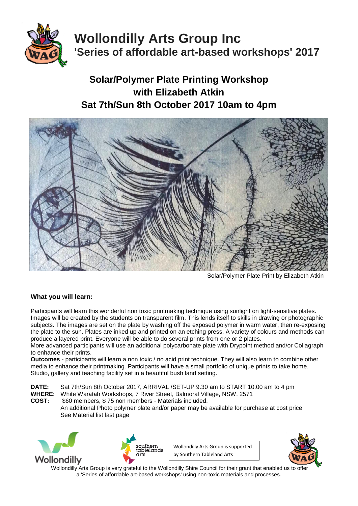

# **Wollondilly Arts Group Inc 'Series of affordable art-based workshops' 2017**

# **Solar/Polymer Plate Printing Workshop with Elizabeth Atkin Sat 7th/Sun 8th October 2017 10am to 4pm**



Solar/Polymer Plate Print by Elizabeth Atkin

# **What you will learn:**

Participants will learn this wonderful non toxic printmaking technique using sunlight on light-sensitive plates. Images will be created by the students on transparent film. This lends itself to skills in drawing or photographic subjects. The images are set on the plate by washing off the exposed polymer in warm water, then re-exposing the plate to the sun. Plates are inked up and printed on an etching press. A variety of colours and methods can produce a layered print. Everyone will be able to do several prints from one or 2 plates.

More advanced participants will use an additional polycarbonate plate with Drypoint method and/or Collagraph to enhance their prints.

**Outcomes** - participants will learn a non toxic / no acid print technique. They will also learn to combine other media to enhance their printmaking. Participants will have a small portfolio of unique prints to take home. Studio, gallery and teaching facility set in a beautiful bush land setting.

**DATE:** Sat 7th/Sun 8th October 2017, ARRIVAL /SET-UP 9.30 am to START 10.00 am to 4 pm White Waratah Workshops, 7 River Street, Balmoral Village, NSW, 2571 **COST:** \$60 members, \$ 75 non members - Materials included. An additional Photo polymer plate and/or paper may be available for purchase at cost price See Material list last page





Wollondilly Arts Group is supported by Southern Tableland Arts

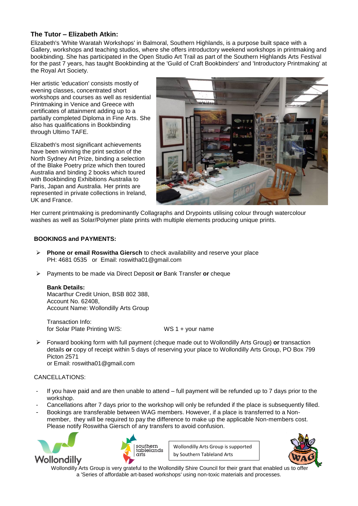### **The Tutor – Elizabeth Atkin:**

Elizabeth's 'White Waratah Workshops' in Balmoral, Southern Highlands, is a purpose built space with a Gallery, workshops and teaching studios, where she offers introductory weekend workshops in printmaking and bookbinding. She has participated in the Open Studio Art Trail as part of the Southern Highlands Arts Festival for the past 7 years, has taught Bookbinding at the 'Guild of Craft Bookbinders' and 'Introductory Printmaking' at the Royal Art Society.

Her artistic 'education' consists mostly of evening classes, concentrated short workshops and courses as well as residential Printmaking in Venice and Greece with certificates of attainment adding up to a partially completed Diploma in Fine Arts. She also has qualifications in Bookbinding through Ultimo TAFE.

Elizabeth's most significant achievements have been winning the print section of the North Sydney Art Prize, binding a selection of the Blake Poetry prize which then toured Australia and binding 2 books which toured with Bookbinding Exhibitions Australia to Paris, Japan and Australia. Her prints are represented in private collections in Ireland, UK and France.



Her current printmaking is predominantly Collagraphs and Drypoints utilising colour through watercolour washes as well as Solar/Polymer plate prints with multiple elements producing unique prints.

#### **BOOKINGS and PAYMENTS:**

- **Phone or email Roswitha Giersch** to check availability and reserve your place PH: 4681 0535 or Email: roswitha01@gmail.com
- Payments to be made via Direct Deposit **or** Bank Transfer **or** cheque

#### **Bank Details:**

Macarthur Credit Union, BSB 802 388, Account No. 62408, Account Name: Wollondilly Arts Group

Transaction Info: for Solar Plate Printing W/S: WS 1 + your name

 Forward booking form with full payment (cheque made out to Wollondilly Arts Group) **or** transaction details **or** copy of receipt within 5 days of reserving your place to Wollondilly Arts Group, PO Box 799 Picton 2571 or Email: roswitha01@gmail.com

## CANCELLATIONS:

- If you have paid and are then unable to attend full payment will be refunded up to 7 days prior to the workshop.
- Cancellations after 7 days prior to the workshop will only be refunded if the place is subsequently filled.
- Bookings are transferable between WAG members. However, if a place is transferred to a Nonmember, they will be required to pay the difference to make up the applicable Non-members cost. Please notify Roswitha Giersch of any transfers to avoid confusion.





Wollondilly Arts Group is supported by Southern Tableland Arts

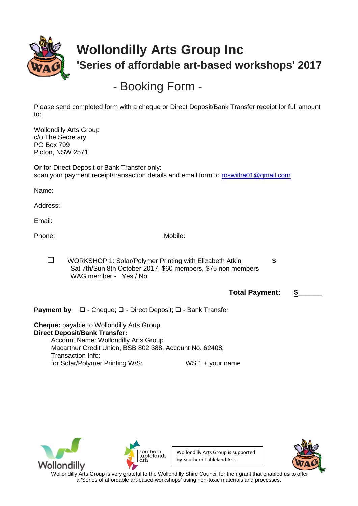

# **Wollondilly Arts Group Inc 'Series of affordable art-based workshops' 2017**

- Booking Form -

Please send completed form with a cheque or Direct Deposit/Bank Transfer receipt for full amount to:

Wollondilly Arts Group c/o The Secretary PO Box 799 Picton, NSW 2571

**Or** for Direct Deposit or Bank Transfer only: scan your payment receipt/transaction details and email form to [roswitha01@gmail.com](file:///C:/Users/Ros/AppData/Local/Microsoft/Windows/Temporary%20Internet%20Files/Content.Outlook/roswitha01@gmail.com)

Name:

Address:

Email:

Phone: Mobile: Mobile: Mobile: Mobile: Mobile: Mobile: Mobile: Mobile: Mobile: Mobile: Mobile: Mobile: Mobile:  $\mathsf{M}$ 

WORKSHOP 1: Solar/Polymer Printing with Elizabeth Atkin **\$** Sat 7th/Sun 8th October 2017, \$60 members, \$75 non members WAG member - Yes / No

**Total Payment: \$\_\_\_\_\_\_**

**Payment by**  $\Box$  - Cheque;  $\Box$  - Direct Deposit;  $\Box$  - Bank Transfer

**Cheque:** payable to Wollondilly Arts Group **Direct Deposit/Bank Transfer:** Account Name: Wollondilly Arts Group Macarthur Credit Union, BSB 802 388, Account No. 62408, Transaction Info: for Solar/Polymer Printing W/S: WS 1 + your name





Wollondilly Arts Group is supported by Southern Tableland Arts